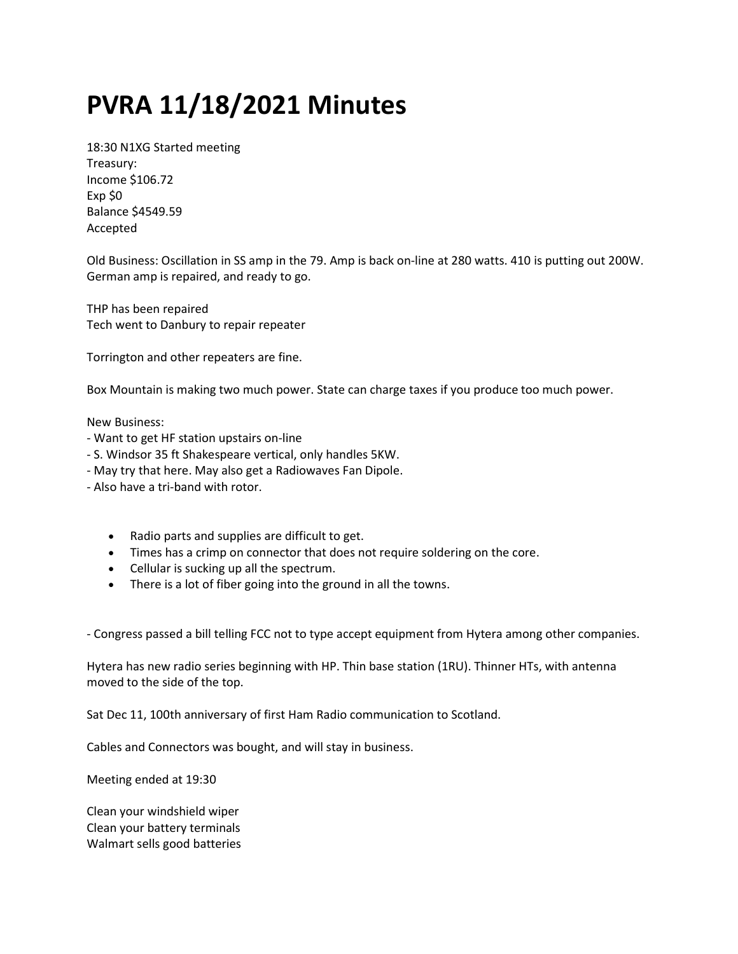## PVRA 11/18/2021 Minutes

18:30 N1XG Started meeting Treasury: Income \$106.72 Exp \$0 Balance \$4549.59 Accepted

Old Business: Oscillation in SS amp in the 79. Amp is back on-line at 280 watts. 410 is putting out 200W. German amp is repaired, and ready to go.

THP has been repaired Tech went to Danbury to repair repeater

Torrington and other repeaters are fine.

Box Mountain is making two much power. State can charge taxes if you produce too much power.

New Business:

- Want to get HF station upstairs on-line
- S. Windsor 35 ft Shakespeare vertical, only handles 5KW.
- May try that here. May also get a Radiowaves Fan Dipole.
- Also have a tri-band with rotor.
	- Radio parts and supplies are difficult to get.
	- Times has a crimp on connector that does not require soldering on the core.
	- Cellular is sucking up all the spectrum.
	- There is a lot of fiber going into the ground in all the towns.

- Congress passed a bill telling FCC not to type accept equipment from Hytera among other companies.

Hytera has new radio series beginning with HP. Thin base station (1RU). Thinner HTs, with antenna moved to the side of the top.

Sat Dec 11, 100th anniversary of first Ham Radio communication to Scotland.

Cables and Connectors was bought, and will stay in business.

Meeting ended at 19:30

Clean your windshield wiper Clean your battery terminals Walmart sells good batteries